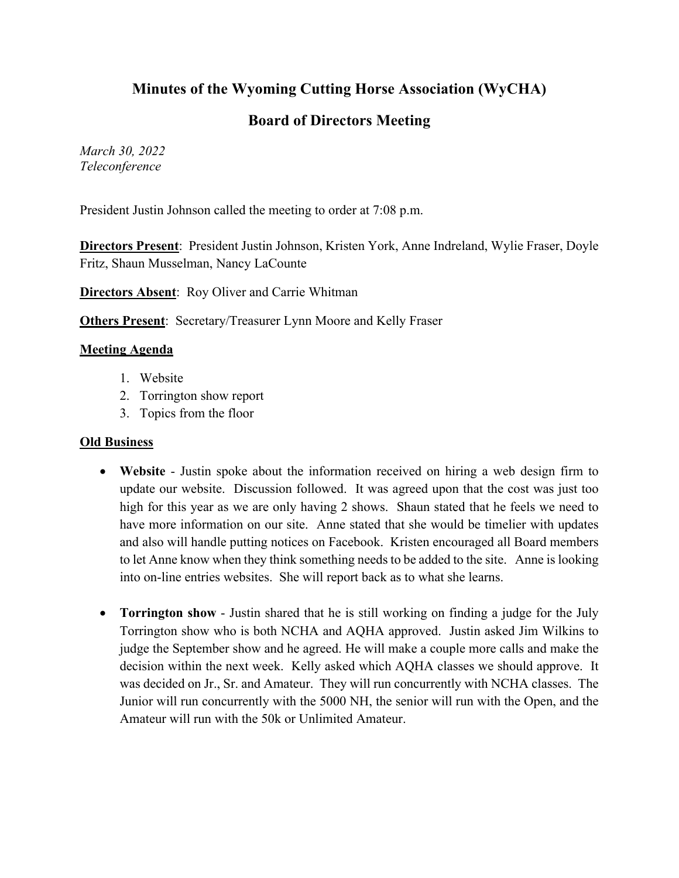# **Minutes of the Wyoming Cutting Horse Association (WyCHA)**

# **Board of Directors Meeting**

*March 30, 2022 Teleconference*

President Justin Johnson called the meeting to order at 7:08 p.m.

**Directors Present**: President Justin Johnson, Kristen York, Anne Indreland, Wylie Fraser, Doyle Fritz, Shaun Musselman, Nancy LaCounte

**Directors Absent**: Roy Oliver and Carrie Whitman

**Others Present:** Secretary/Treasurer Lynn Moore and Kelly Fraser

### **Meeting Agenda**

- 1. Website
- 2. Torrington show report
- 3. Topics from the floor

#### **Old Business**

- **Website** Justin spoke about the information received on hiring a web design firm to update our website. Discussion followed. It was agreed upon that the cost was just too high for this year as we are only having 2 shows. Shaun stated that he feels we need to have more information on our site. Anne stated that she would be timelier with updates and also will handle putting notices on Facebook. Kristen encouraged all Board members to let Anne know when they think something needs to be added to the site. Anne is looking into on-line entries websites. She will report back as to what she learns.
- **Torrington show** Justin shared that he is still working on finding a judge for the July Torrington show who is both NCHA and AQHA approved. Justin asked Jim Wilkins to judge the September show and he agreed. He will make a couple more calls and make the decision within the next week. Kelly asked which AQHA classes we should approve. It was decided on Jr., Sr. and Amateur. They will run concurrently with NCHA classes. The Junior will run concurrently with the 5000 NH, the senior will run with the Open, and the Amateur will run with the 50k or Unlimited Amateur.